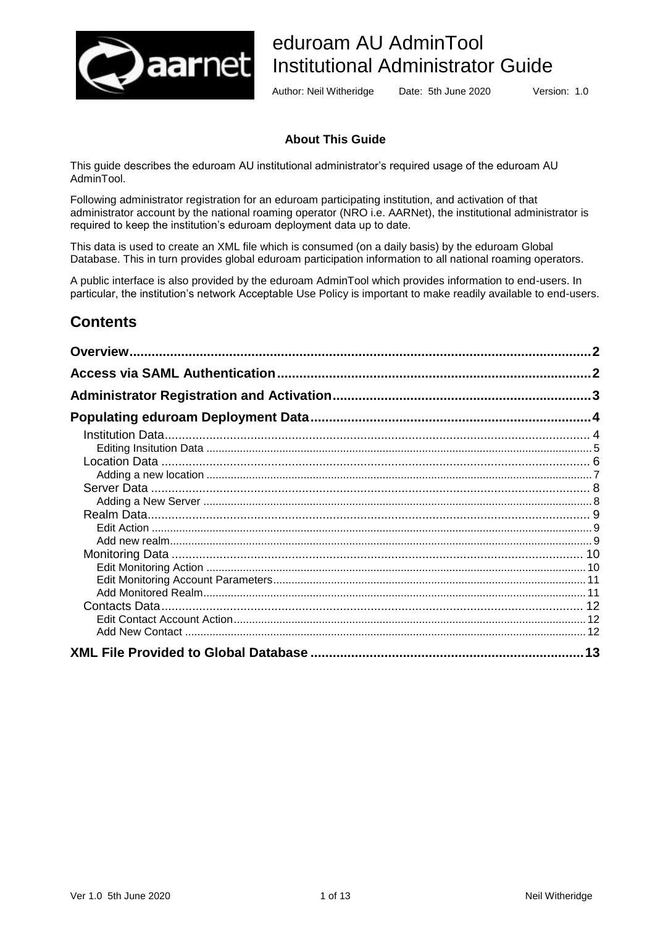

# eduroam AU AdminTool Institutional Administrator Guide

Author: Neil Witheridge Date: 5th June 2020 Version: 1.0

### **About This Guide**

This guide describes the eduroam AU institutional administrator's required usage of the eduroam AU AdminTool.

Following administrator registration for an eduroam participating institution, and activation of that administrator account by the national roaming operator (NRO i.e. AARNet), the institutional administrator is required to keep the institution's eduroam deployment data up to date.

This data is used to create an XML file which is consumed (on a daily basis) by the eduroam Global Database. This in turn provides global eduroam participation information to all national roaming operators.

A public interface is also provided by the eduroam AdminTool which provides information to end-users. In particular, the institution's network Acceptable Use Policy is important to make readily available to end-users.

# **Contents**

| $\mathbf{c}$ |
|--------------|
|              |
|              |
|              |
|              |
|              |
|              |
|              |
|              |
|              |
|              |
|              |
|              |
|              |
|              |
|              |
|              |
|              |
|              |
|              |
|              |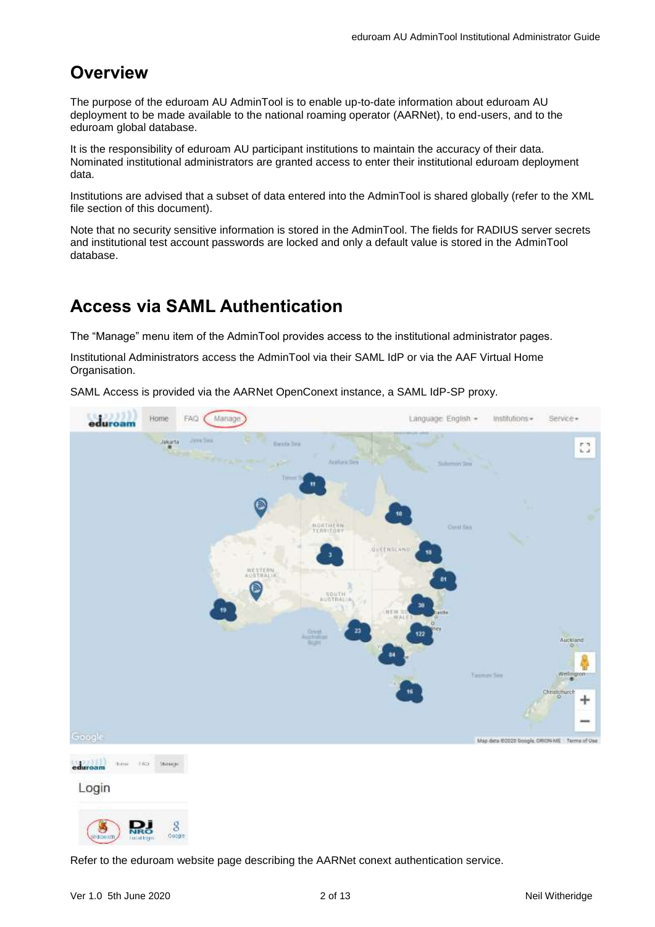# <span id="page-1-0"></span>**Overview**

The purpose of the eduroam AU AdminTool is to enable up-to-date information about eduroam AU deployment to be made available to the national roaming operator (AARNet), to end-users, and to the eduroam global database.

It is the responsibility of eduroam AU participant institutions to maintain the accuracy of their data. Nominated institutional administrators are granted access to enter their institutional eduroam deployment data.

Institutions are advised that a subset of data entered into the AdminTool is shared globally (refer to the XML file section of this document).

Note that no security sensitive information is stored in the AdminTool. The fields for RADIUS server secrets and institutional test account passwords are locked and only a default value is stored in the AdminTool database.

# <span id="page-1-1"></span>**Access via SAML Authentication**

The "Manage" menu item of the AdminTool provides access to the institutional administrator pages.

Institutional Administrators access the AdminTool via their SAML IdP or via the AAF Virtual Home Organisation.

SAML Access is provided via the AARNet OpenConext instance, a SAML IdP-SP proxy.



Refer to the eduroam website page describing the AARNet conext authentication service.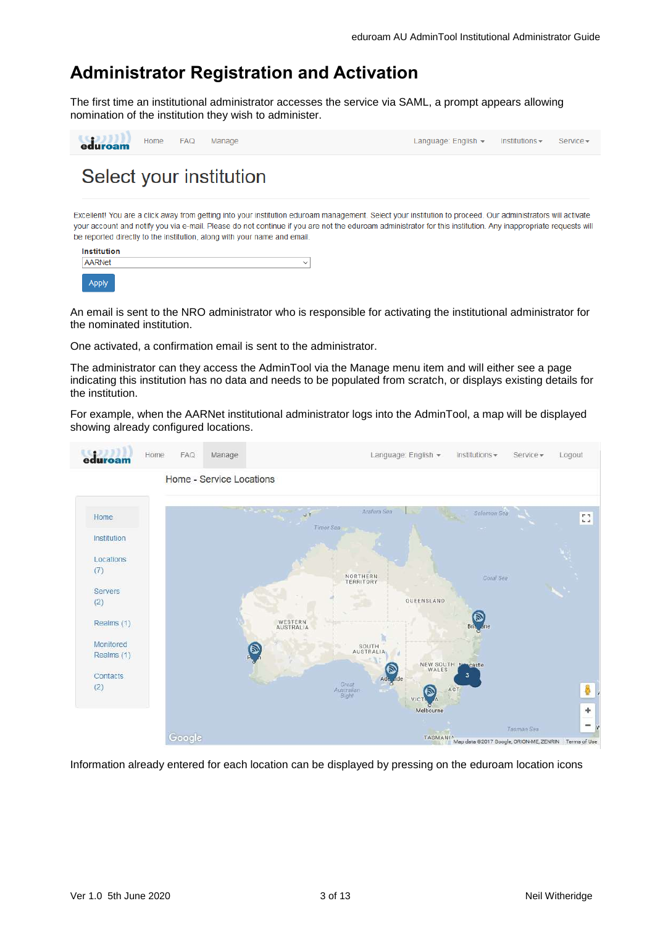# <span id="page-2-0"></span>**Administrator Registration and Activation**

The first time an institutional administrator accesses the service via SAML, a prompt appears allowing nomination of the institution they wish to administer.

| eduroam | Home FAQ | Manage                  | Language: English $\blacktriangledown$ Institutions $\blacktriangledown$ | Service - |
|---------|----------|-------------------------|--------------------------------------------------------------------------|-----------|
|         |          | Select your institution |                                                                          |           |

Excellent! You are a click away from getting into your institution eduroam management. Select your institution to proceed. Our administrators will activate your account and notify you via e-mail. Please do not continue if you are not the eduroam administrator for this institution. Any inappropriate requests will be reported directly to the institution, along with your name and email.

| <b>Institution</b> |  |              |  |  |  |  |
|--------------------|--|--------------|--|--|--|--|
| <b>AARNet</b>      |  | $\checkmark$ |  |  |  |  |
| Annhr              |  |              |  |  |  |  |

An email is sent to the NRO administrator who is responsible for activating the institutional administrator for the nominated institution.

One activated, a confirmation email is sent to the administrator.

The administrator can they access the AdminTool via the Manage menu item and will either see a page indicating this institution has no data and needs to be populated from scratch, or displays existing details for the institution.

For example, when the AARNet institutional administrator logs into the AdminTool, a map will be displayed showing already configured locations.



Information already entered for each location can be displayed by pressing on the eduroam location icons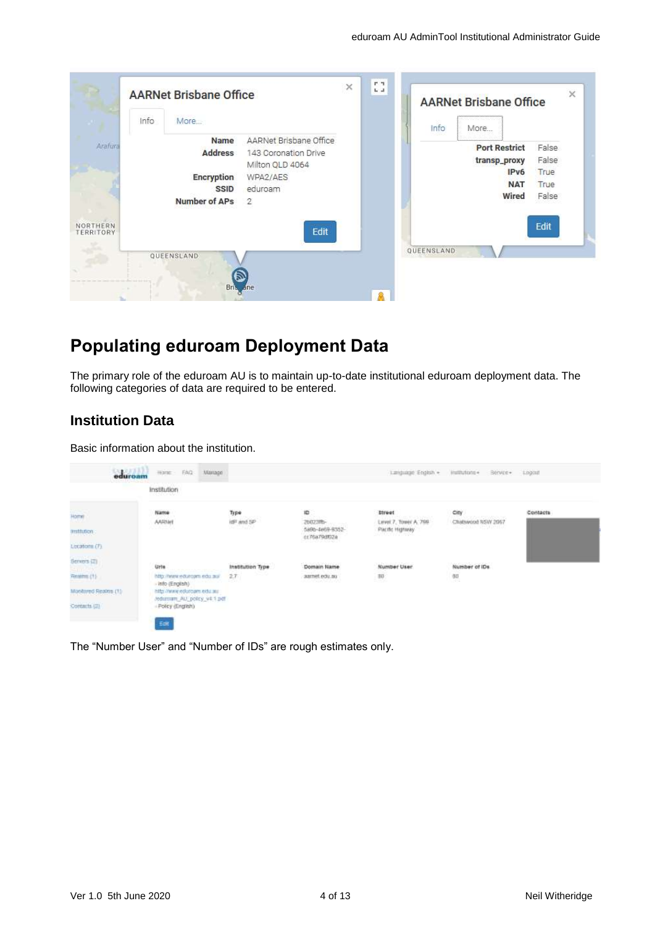| Info                                | More                                                                        |                                                                                               | <b>AARNet Brisbane Office</b><br><br>More<br>Info                                   |                                         |
|-------------------------------------|-----------------------------------------------------------------------------|-----------------------------------------------------------------------------------------------|-------------------------------------------------------------------------------------|-----------------------------------------|
| Arafura                             | Name<br><b>Address</b><br>Encryption<br><b>SSID</b><br><b>Number of APs</b> | AARNet Brisbane Office<br>143 Coronation Drive<br>Milton QLD 4064<br>WPA2/AES<br>eduroam<br>2 | <br><b>Port Restrict</b><br>transp_proxy<br>IP <sub>v6</sub><br><b>NAT</b><br>Wired | False<br>False<br>True<br>True<br>False |
| <b>NORTHERN</b><br><b>TERRITORY</b> | QUEENSLAND                                                                  | Edit                                                                                          | QUEENSLAND                                                                          | Edit                                    |

# <span id="page-3-0"></span>**Populating eduroam Deployment Data**

The primary role of the eduroam AU is to maintain up-to-date institutional eduroam deployment data. The following categories of data are required to be entered.

## <span id="page-3-1"></span>**Institution Data**

Basic information about the institution.

| Home - EAQ<br>Mariage                          |                                                                                                                           |                                                        |                                        | Hullbutgate +                                              |                                                                        |
|------------------------------------------------|---------------------------------------------------------------------------------------------------------------------------|--------------------------------------------------------|----------------------------------------|------------------------------------------------------------|------------------------------------------------------------------------|
| Institution<br>기능 정치 소식장                       |                                                                                                                           |                                                        |                                        |                                                            |                                                                        |
| Name<br>AARNH                                  | Type<br>idit and SP                                                                                                       | 10<br>2002318-                                         | <b>Street</b><br>Level 7, Tower A, 798 | City<br><b>CONTRACTOR</b> CONTRACTOR<br>Chatswood NSW 2067 | Contacts                                                               |
|                                                |                                                                                                                           | cc76a79df02a<br>The company's company's service        | <b>SERVICE STATE</b>                   |                                                            |                                                                        |
| <b>Urle</b>                                    | Institution Type                                                                                                          | Domain Name                                            | Number User                            | Number of IDs.                                             |                                                                        |
| - info (English)<br>http://www.edurgam.edu.au/ | $\frac{1}{2} \left( \frac{1}{2} \right) \left( \frac{1}{2} \right) \left( \frac{1}{2} \right) \left( \frac{1}{2} \right)$ | 너머의 어려울면 아까 사람이                                        |                                        | 319                                                        |                                                                        |
| - Policy (English)                             |                                                                                                                           |                                                        |                                        |                                                            |                                                                        |
|                                                | eduroan<br>http://www.edurgam.edu.au/<br>East                                                                             | 942196292<br>---<br>27<br>Jedunuam ALI policy v4.1.pdf | 5896-4669-9352-<br>aarnet edu.au       | Pacific Highway<br>$\mathbb{H}^1$                          | Language English +<br>Bervice - Logast<br>012-2010 - 122 IUP IST<br>60 |

The "Number User" and "Number of IDs" are rough estimates only.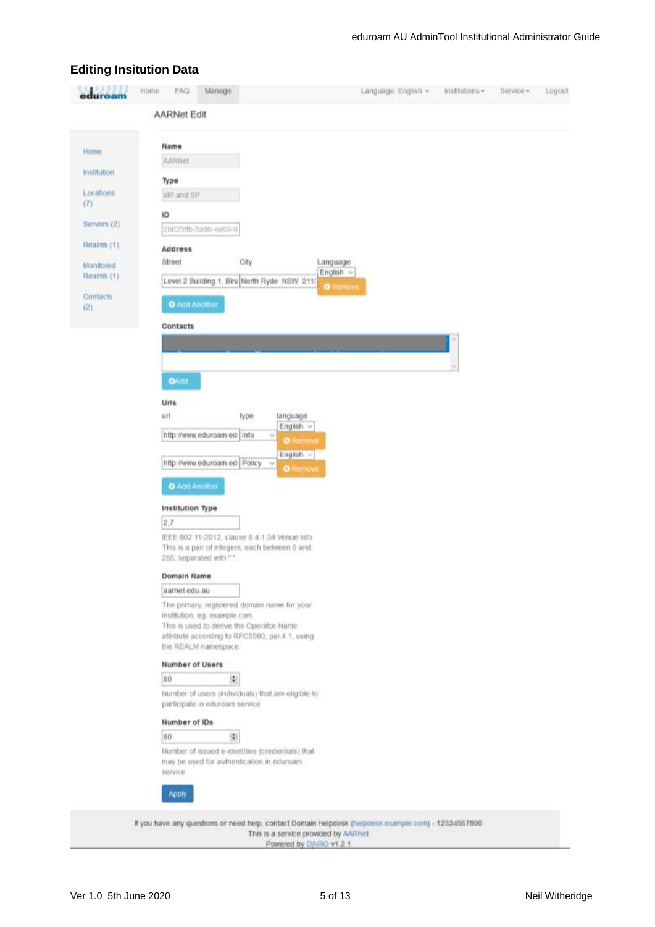## <span id="page-4-0"></span>**Editing Insitution Data**

| Home<br>mstitution<br>Locations<br>(7)<br>Servers (2) | <b>AARNet Edit</b><br>Name<br>AARINH<br>Type<br>IdP and SP                           |                 |  |
|-------------------------------------------------------|--------------------------------------------------------------------------------------|-----------------|--|
|                                                       |                                                                                      |                 |  |
|                                                       |                                                                                      |                 |  |
|                                                       |                                                                                      |                 |  |
|                                                       |                                                                                      |                 |  |
|                                                       |                                                                                      |                 |  |
|                                                       | ID                                                                                   |                 |  |
|                                                       | 2b023ftb-5a9b-4e69-9                                                                 |                 |  |
| Realms (1)                                            |                                                                                      |                 |  |
|                                                       | Address<br>Street<br>City                                                            | Language        |  |
| Monitored<br>Realms (1)                               |                                                                                      | English ~       |  |
|                                                       | Level 2 Building 1, Bini North Ryde NSW 2113                                         | <b>O</b> Remove |  |
| <b>Contacts</b><br>(2)                                | O Agd Another                                                                        |                 |  |
|                                                       | Contacts                                                                             |                 |  |
|                                                       |                                                                                      |                 |  |
|                                                       |                                                                                      |                 |  |
|                                                       |                                                                                      |                 |  |
|                                                       | <b>O</b> Add.                                                                        |                 |  |
|                                                       | Uris                                                                                 |                 |  |
|                                                       | urt<br>type<br>language                                                              |                 |  |
|                                                       | English v<br>http://www.eduroam.edi Info<br>v<br><b>O</b> Remove                     |                 |  |
|                                                       | English -                                                                            |                 |  |
|                                                       | http://www.eduroam.edi Policy<br>×<br><b>O</b> Remove                                |                 |  |
|                                                       | O Add Another                                                                        |                 |  |
|                                                       | Institution Type                                                                     |                 |  |
|                                                       | 2.7                                                                                  |                 |  |
|                                                       | IEEE 802 11-2012, clause 8.4.1.34 Venue info.                                        |                 |  |
|                                                       | This is a pair of integers, each between 0 and<br>255, separated with ".".           |                 |  |
|                                                       | Domain Name                                                                          |                 |  |
|                                                       | aamet edu au                                                                         |                 |  |
|                                                       | The primary, registered domain name for your                                         |                 |  |
|                                                       | mstitution, eg. example.com.<br>This is used to derive the Operator-Name             |                 |  |
|                                                       | attribute according to RFC5580, par.4.1, using                                       |                 |  |
|                                                       | the REALM namespace.                                                                 |                 |  |
|                                                       | Number of Users                                                                      |                 |  |
|                                                       | $\ddot{\Psi}$<br>80                                                                  |                 |  |
|                                                       | Number of users (individuals) that are eligible to<br>participate in eduroam service |                 |  |
|                                                       | Number of IDs                                                                        |                 |  |
|                                                       | 圖<br>80                                                                              |                 |  |
|                                                       | Number of issued e-identities (credentials) that                                     |                 |  |
|                                                       | may be used for authentication in eduroam<br>service                                 |                 |  |
|                                                       | <b>Apply</b>                                                                         |                 |  |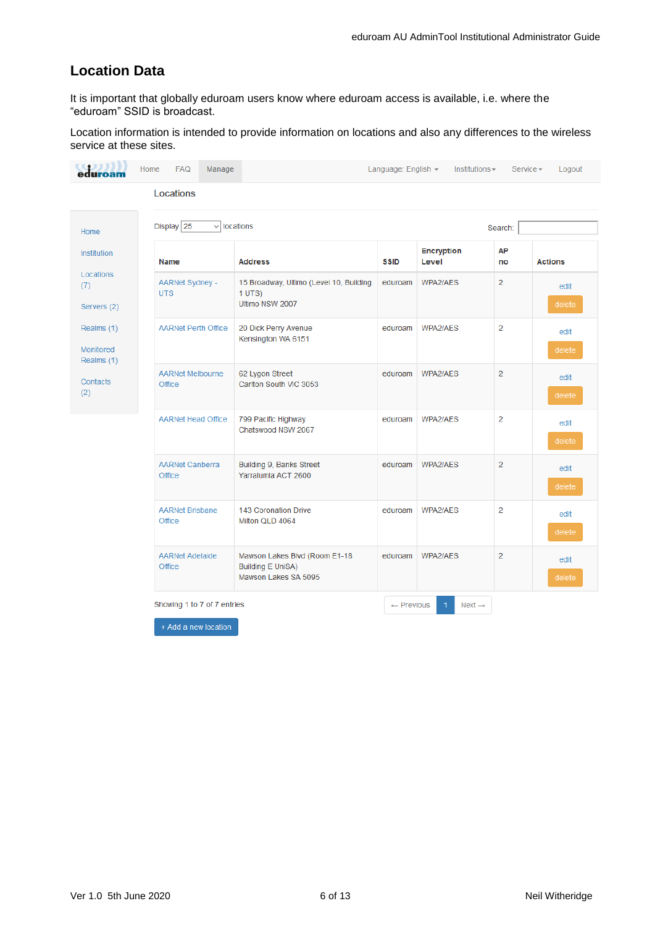## <span id="page-5-0"></span>**Location Data**

It is important that globally eduroam users know where eduroam access is available, i.e. where the "eduroam" SSID is broadcast.

Location information is intended to provide information on locations and also any differences to the wireless service at these sites.

|                                       | Locations                            |                                                                                   |             |                            |                |                |
|---------------------------------------|--------------------------------------|-----------------------------------------------------------------------------------|-------------|----------------------------|----------------|----------------|
| Home                                  | Display 25<br>$\checkmark$           | locations                                                                         |             |                            | Search:        |                |
| Institution<br>Name                   |                                      | <b>Address</b>                                                                    | <b>SSID</b> | <b>Encryption</b><br>Level | AP<br>no       | <b>Actions</b> |
| Locations<br>Servers (2)              | <b>AARNet Sydney -</b><br><b>UTS</b> | 15 Broadway, Ultimo (Level 10, Building<br>1 <b>UTS</b><br>Ultimo NSW 2007        | eduroam     | WPA2/AES                   | $\overline{2}$ | edit<br>delete |
| Realms (1)<br>Monitored<br>Realms (1) | <b>AARNet Perth Office</b>           | 20 Dick Perry Avenue<br>Kensington WA 6151                                        | eduroam     | WPA2/AES                   | $\overline{2}$ | edit<br>delete |
| Contacts                              | <b>AARNet Melbourne</b><br>Office    | 62 Lygon Street<br>Carlton South VIC 3053                                         | eduroam     | WPA2/AES                   | $\overline{2}$ | edit<br>delete |
|                                       | <b>AARNet Head Office</b>            | 799 Pacific Highway<br>Chatswood NSW 2067                                         | eduroam     | WPA2/AES                   | $\overline{2}$ | edit<br>delete |
|                                       | <b>AARNet Canberra</b><br>Office     | Building 9, Banks Street<br>Yarralumla ACT 2600                                   | eduroam     | WPA2/AES                   | $\overline{2}$ | edit<br>delete |
|                                       | <b>AARNet Brisbane</b><br>Office     | 143 Coronation Drive<br>Milton QLD 4064                                           | eduroam     | WPA2/AES                   | $\overline{2}$ | edit<br>delete |
|                                       | <b>AARNet Adelaide</b><br>Office     | Mawson Lakes Blvd (Room E1-18<br><b>Building E UniSA)</b><br>Mawson Lakes SA 5095 | eduroam     | WPA2/AES                   | $\overline{2}$ | edit<br>delete |

+ Add a new location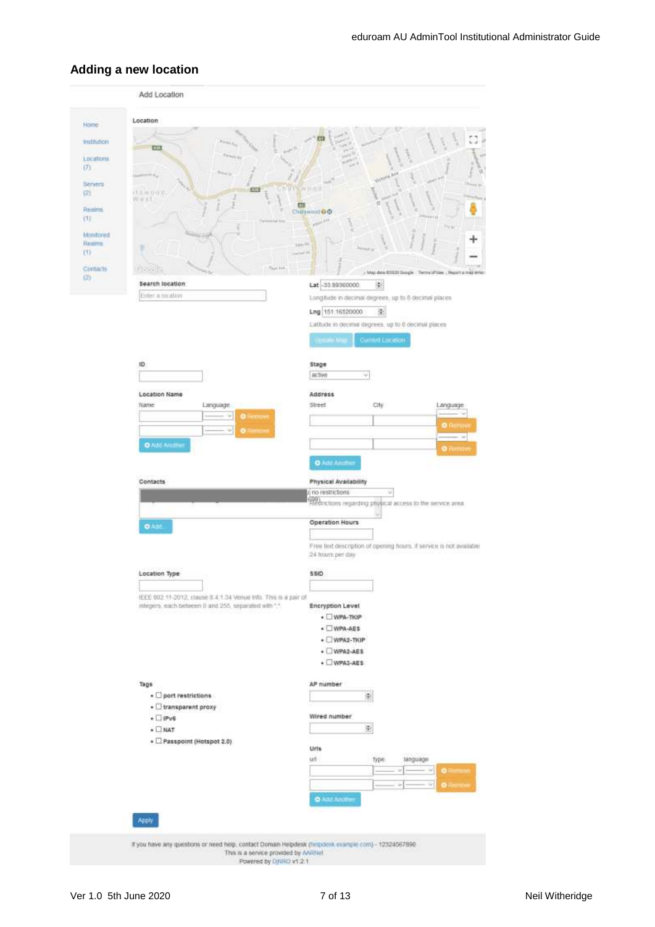### <span id="page-6-0"></span>**Adding a new location**

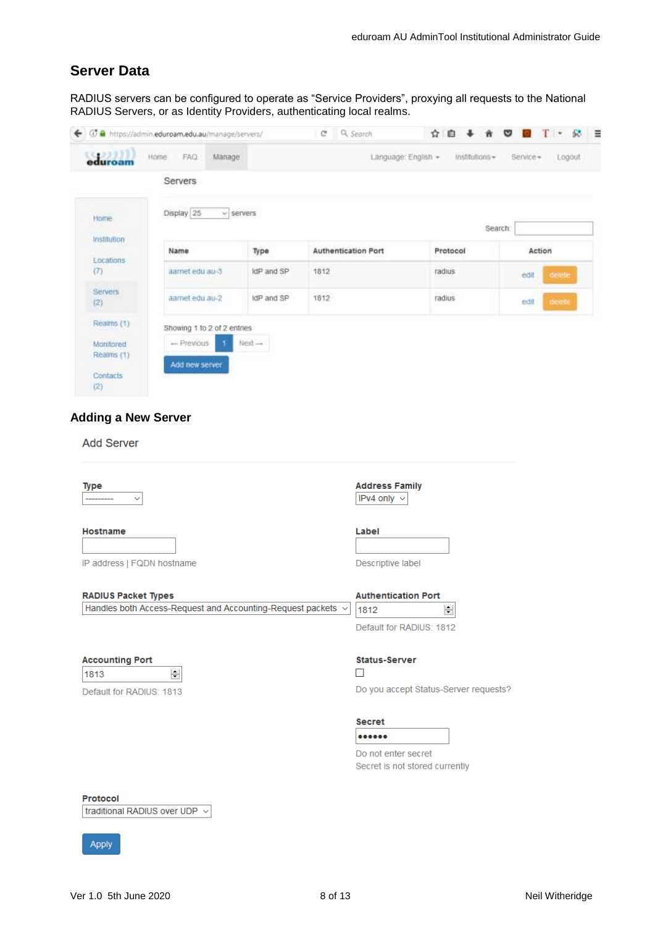## <span id="page-7-0"></span>**Server Data**

RADIUS servers can be configured to operate as "Service Providers", proxying all requests to the National RADIUS Servers, or as Identity Providers, authenticating local realms.



## <span id="page-7-1"></span>**Adding a New Server**

#### **Add Server**

| Type<br>$\checkmark$                                                                       | <b>Address Family</b><br>IPv4 only $\sim$                                  |
|--------------------------------------------------------------------------------------------|----------------------------------------------------------------------------|
| Hostname                                                                                   | Label                                                                      |
| IP address   FQDN hostname                                                                 | Descriptive label                                                          |
| <b>RADIUS Packet Types</b><br>Handles both Access-Request and Accounting-Request packets v | <b>Authentication Port</b>                                                 |
|                                                                                            | $\div$<br>1812<br>Default for RADIUS: 1812                                 |
| <b>Accounting Port</b><br>÷<br>1813<br>Default for RADIUS: 1813                            | <b>Status-Server</b><br>n l<br>Do you accept Status-Server requests?       |
|                                                                                            | <b>Secret</b><br><br>Do not enter secret<br>Secret is not stored currently |
| <b>Protocol</b><br>traditional RADIUS over UDP $\sim$                                      |                                                                            |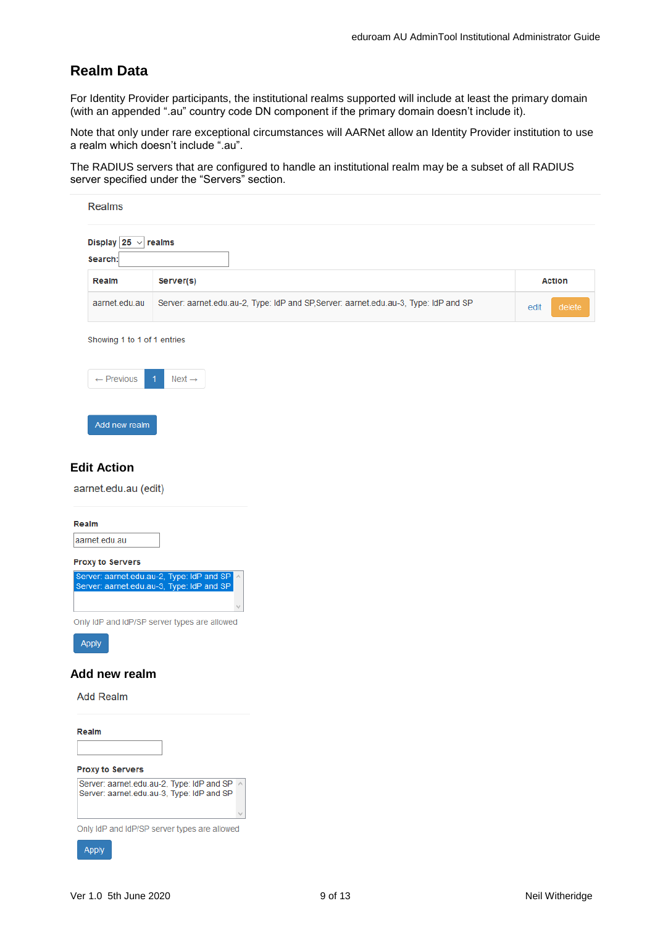## <span id="page-8-0"></span>**Realm Data**

For Identity Provider participants, the institutional realms supported will include at least the primary domain (with an appended ".au" country code DN component if the primary domain doesn't include it).

Note that only under rare exceptional circumstances will AARNet allow an Identity Provider institution to use a realm which doesn't include ".au".

The RADIUS servers that are configured to handle an institutional realm may be a subset of all RADIUS server specified under the "Servers" section.

| <b>Realms</b>                |                                                                                      |                |
|------------------------------|--------------------------------------------------------------------------------------|----------------|
| Display 25 $\sim$<br>Search: | realms                                                                               |                |
| Realm                        | Server(s)                                                                            | <b>Action</b>  |
| aarnet.edu.au                | Server: aarnet.edu.au-2, Type: IdP and SP, Server: aarnet.edu.au-3, Type: IdP and SP | delete<br>edit |
| Showing 1 to 1 of 1 entries  |                                                                                      |                |
| $\leftarrow$ Previous        | $Next \rightarrow$<br>$\overline{1}$                                                 |                |
| Add new realm                |                                                                                      |                |

#### <span id="page-8-1"></span>**Edit Action**

aarnet.edu.au (edit)

#### <span id="page-8-2"></span>**Add new realm**

**Add Realm** 

Realm

Apply

| <b>Proxy to Servers</b><br>Server: aarnet.edu.au-2, Type: IdP and SP<br>Server: aarnet.edu.au-3, Type: IdP and SP |  |  |  |  |
|-------------------------------------------------------------------------------------------------------------------|--|--|--|--|
|                                                                                                                   |  |  |  |  |
| Only IdP and IdP/SP server types are allowed                                                                      |  |  |  |  |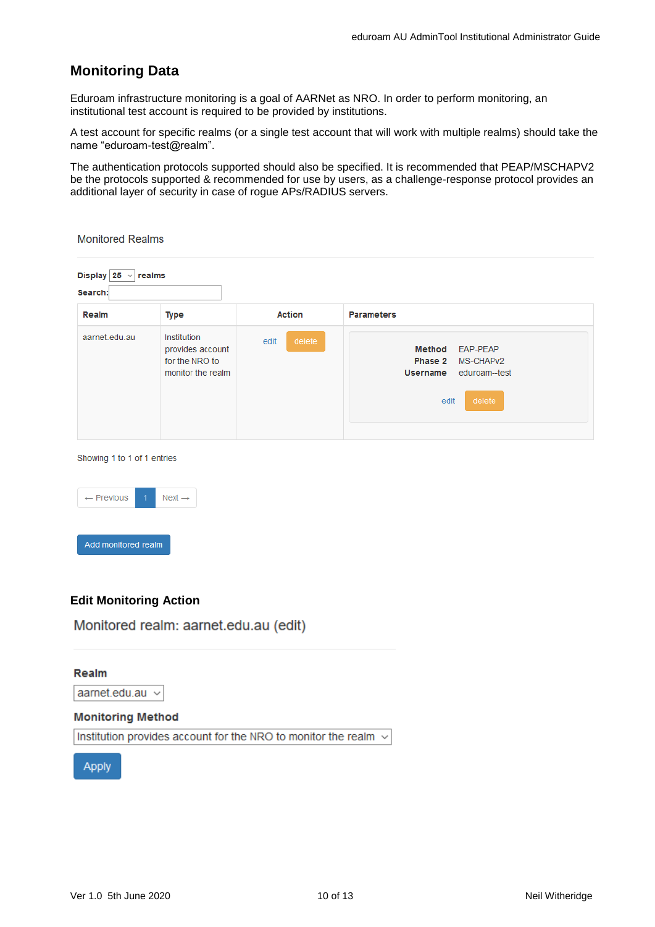## <span id="page-9-0"></span>**Monitoring Data**

Eduroam infrastructure monitoring is a goal of AARNet as NRO. In order to perform monitoring, an institutional test account is required to be provided by institutions.

A test account for specific realms (or a single test account that will work with multiple realms) should take the name "eduroam-test@realm".

The authentication protocols supported should also be specified. It is recommended that PEAP/MSCHAPV2 be the protocols supported & recommended for use by users, as a challenge-response protocol provides an additional layer of security in case of rogue APs/RADIUS servers.

**Monitored Realms** Display  $25 \vee$  realms Search: **Action Parameters** Realm **Type** aarnet.edu.au Institution edit provides account Method EAP-PEAP Phase 2 MS-CHAPv2 for the NRO to monitor the realm Username eduroam--test edit

Showing 1 to 1 of 1 entries



#### <span id="page-9-1"></span>**Edit Monitoring Action**

Monitored realm: aarnet.edu.au (edit)

Realm aarnet.edu.au  $\sim$ 

#### **Monitoring Method**

Institution provides account for the NRO to monitor the realm  $\sim$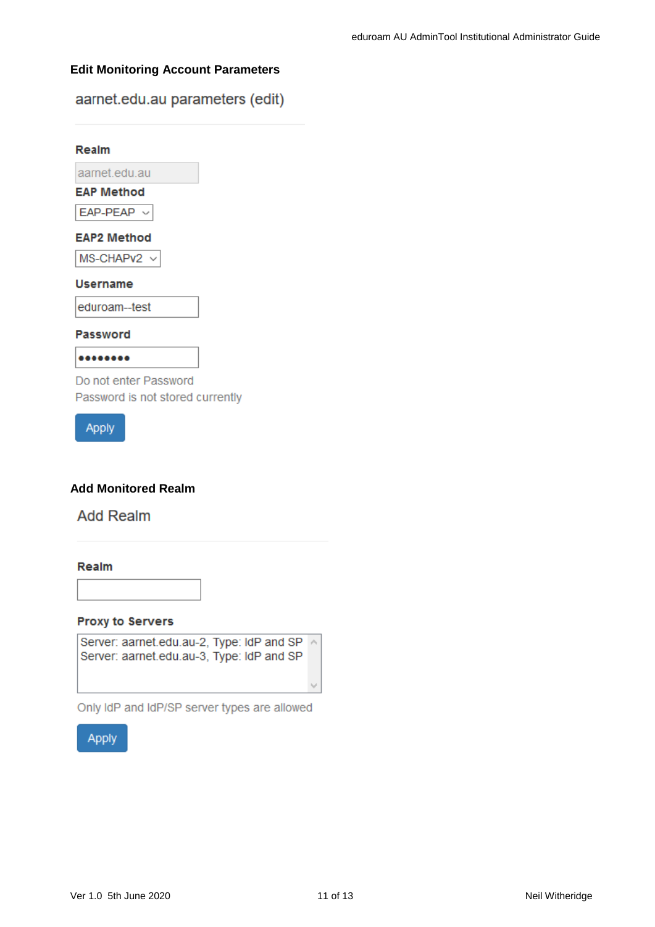#### <span id="page-10-0"></span>**Edit Monitoring Account Parameters**

aarnet.edu.au parameters (edit)

# Realm aarnet.edu.au **EAP Method**  $EAP-PEAP \sim$ **EAP2 Method** MS-CHAPv2 v **Username** eduroam--test **Password** ........ Do not enter Password Password is not stored currently

**Apply** 

### <span id="page-10-1"></span>**Add Monitored Realm**

## **Add Realm**

#### Realm

**Proxy to Servers** 

Server: aarnet.edu.au-2, Type: IdP and SP ^ Server: aarnet.edu.au-3, Type: IdP and SP

Only IdP and IdP/SP server types are allowed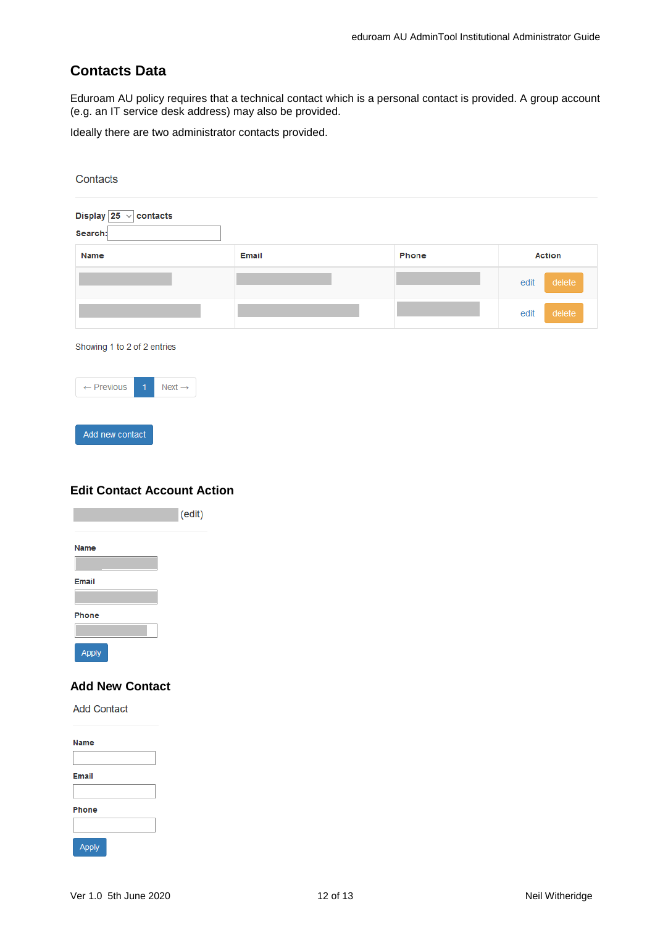## <span id="page-11-0"></span>**Contacts Data**

Eduroam AU policy requires that a technical contact which is a personal contact is provided. A group account (e.g. an IT service desk address) may also be provided.

Ideally there are two administrator contacts provided.

| Contacts                                                      |              |       |                |
|---------------------------------------------------------------|--------------|-------|----------------|
| Display $25 \vee$ contacts<br>Search:                         |              |       |                |
| Name                                                          | <b>Email</b> | Phone | <b>Action</b>  |
|                                                               |              |       | delete<br>edit |
|                                                               |              |       | delete<br>edit |
| Showing 1 to 2 of 2 entries                                   |              |       |                |
| $\overline{1}$<br>$Next \rightarrow$<br>$\leftarrow$ Previous |              |       |                |

Add new contact

### <span id="page-11-1"></span>**Edit Contact Account Action**

|              | (edit) |
|--------------|--------|
| <b>Name</b>  |        |
|              |        |
| <b>Email</b> |        |
| Phone        |        |
|              |        |
| Apply        |        |

### <span id="page-11-2"></span>**Add New Contact**

**Add Contact** 

| <b>Name</b>  |  |
|--------------|--|
|              |  |
| <b>Email</b> |  |
|              |  |
| <b>Phone</b> |  |
|              |  |
| <b>Apply</b> |  |